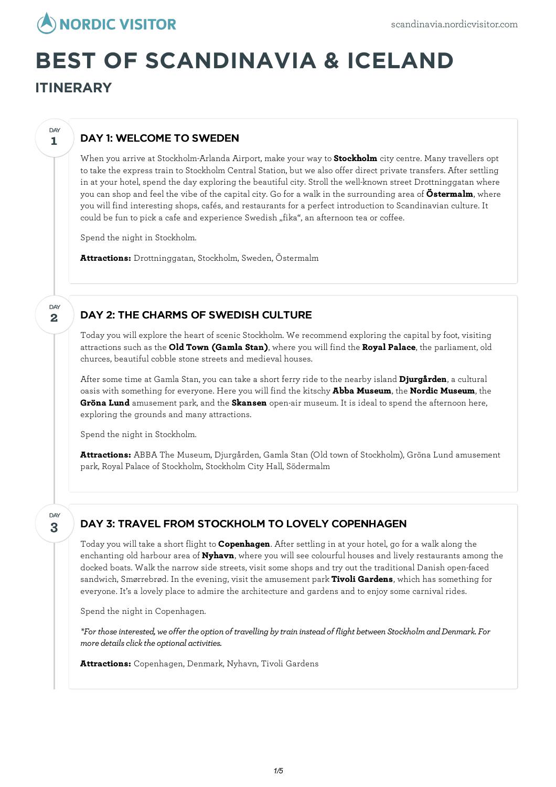

# **BEST OF SCANDINAVIA & ICELAND**

**ITINERARY**

**1**

**DAY** 

**2**

DAY

## DAY 1: WELCOME TO SWEDEN

When you arrive at Stockholm-Arlanda Airport, make your way to **Stockholm** city centre. Many travellers opt to take the express train to Stockholm Central Station, but we also offer direct private transfers. After settling in at your hotel, spend the day exploring the beautiful city. Stroll the well-known street Drottninggatan where you can shop and feel the vibe of the capital city. Go for a walk in the surrounding area of **Östermalm**, where you will find interesting shops, cafés, and restaurants for a perfect introduction to Scandinavian culture. It could be fun to pick a cafe and experience Swedish "fika", an afternoon tea or coffee.

Spend the night in Stockholm.

**Attractions:** Drottninggatan, Stockholm, Sweden, Östermalm

## DAY 2: THE CHARMS OF SWEDISH CULTURE

Today you willexplore the heart of scenic Stockholm. We recommend exploring the capital by foot, visiting attractions such as the **Old Town (Gamla Stan)**, where you will find the **Royal Palace**, the parliament, old churces, beautiful cobble stone streets and medieval houses.

After some time at Gamla Stan, you can take a short ferry ride to the nearby island **Djurgården**, a cultural oasis with something for everyone. Here you will find the kitschy **Abba Museum**, the **Nordic Museum**, the **Gröna Lund** amusement park, and the **Skansen** open-air museum. It is ideal to spend the afternoon here, exploring the grounds and many attractions.

Spend the night in Stockholm.

**Attractions:** ABBA The Museum, Djurgården, Gamla Stan (Old town of Stockholm), Gröna Lund amusement park, Royal Palace of Stockholm, Stockholm City Hall, Södermalm

**3** DAY

# DAY 3: TRAVEL FROM STOCKHOLM TO LOVELY COPENHAGEN

Today you will take a short flight to **Copenhagen**. After settling in at your hotel, go for a walk along the enchanting old harbour area of **Nyhavn**, where you will see colourful houses and lively restaurants among the docked boats. Walk the narrow side streets, visit some shops and try out the traditional Danish open-faced sandwich, Smørrebrød. In the evening, visit the amusement park **Tivoli Gardens**, which has something for everyone. It's a lovely place to admire the architecture and gardens and to enjoy some carnival rides.

Spend the night in Copenhagen.

*\*For thoseinterested, we offer the option of travelling bytrain insteadof flight between StockholmandDenmark. For*  $$ 

**Attractions:** Copenhagen, Denmark, Nyhavn, Tivoli Gardens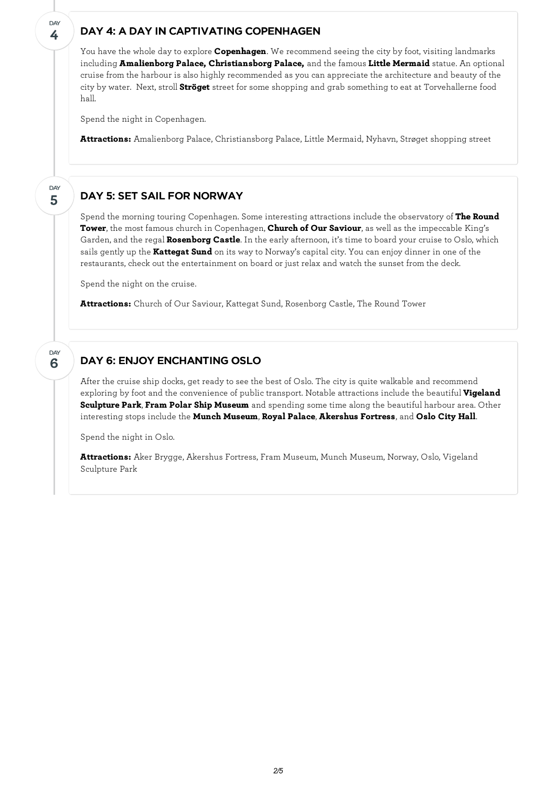### DAY 4: A DAY IN CAPTIVATING COPENHAGEN

You have the whole day to explore **Copenhagen**. We recommend seeing the city by foot, visiting landmarks including **Amalienborg Palace, Christiansborg Palace,** and the famous **Little Mermaid** statue. An optional cruise from the harbour is also highly recommended as you can appreciate the architecture and beauty of the city by water. Next, stroll **Ströget** street for some shopping and grab something to eat at Torvehallerne food hall.

Spend the night in Copenhagen.

**4**

**DAY** 

**5**

**DAY** 

**6**

**DAY** 

**Attractions:** Amalienborg Palace, Christiansborg Palace, Little Mermaid, Nyhavn, Strøget shopping street

## DAY 5: SET SAIL FOR NORWAY

Spend the morning touring Copenhagen. Some interesting attractions include the observatory of **The Round Tower**, the most famous church in Copenhagen, **Church of Our Saviour**, as well as the impeccable King's Garden, and the regal **Rosenborg Castle**. In the early afternoon, it's time to board your cruise to Oslo, which sails gently up the **Kattegat Sund** on its way to Norway's capital city. You can enjoy dinner in one of the restaurants, check out the entertainment on board or just relax and watch the sunset from the deck.

Spend the night on the cruise.

**Attractions:** Church of Our Saviour, Kattegat Sund, Rosenborg Castle, The Round Tower

## DAY 6: ENJOY ENCHANTING OSLO

After the cruise ship docks, get ready to see the best of Oslo. The city is quite walkable and recommend exploring by foot and the convenience of public transport. Notable attractions include the beautiful **Vigeland Sculpture Park**, **Fram Polar Ship Museum** and spending some time along the beautiful harbour area. Other interesting stops include the **Munch Museum**, **Royal Palace**, **Akershus Fortress**, and **Oslo City Hall**.

Spend the night in Oslo.

**Attractions:** Aker Brygge, Akershus Fortress, Fram Museum, Munch Museum, Norway, Oslo, Vigeland Sculpture Park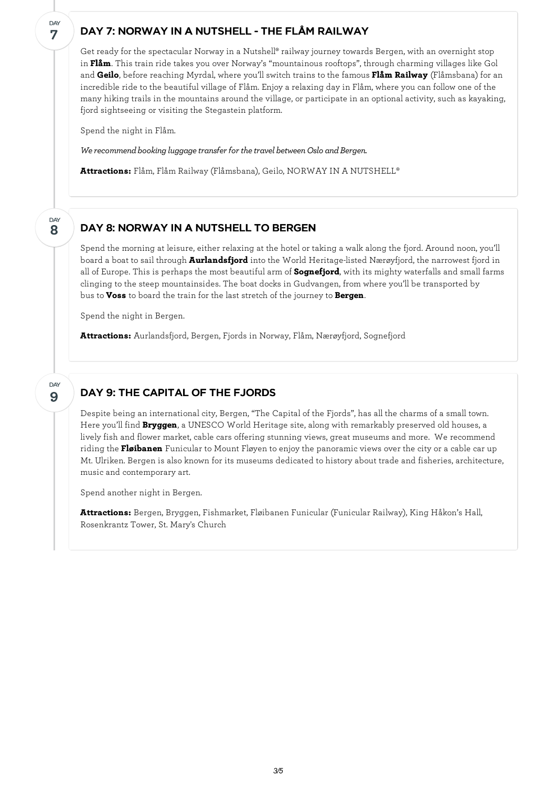## DAY 7: NORWAY IN A NUTSHELL - THE FLÅM RAILWAY

Get ready for the spectacular Norway in a Nutshell® railway journey towards Bergen, with an overnight stop in **Flåm**. This train ride takes you over Norway's "mountainous rooftops", through charming villages like Gol and **Geilo**, before reaching Myrdal, where you'll switch trains to the famous **Flåm Railway** (Flåmsbana) for an incredible ride to the beautiful village of Flåm. Enjoy a relaxing day in Flåm, where you can follow one of the many hiking trails in the mountains around the village, or participate in an optional activity, such as kayaking, fjord sightseeing or visiting the Stegastein platform.

Spend the night in Flåm.

**7**

**DAY** 

**8**

DAY

**9**

DAY

*We recommend booking luggage transfer for the travel between Oslo and Bergen.* 

**Attractions:** Flåm, Flåm Railway (Flåmsbana), Geilo, NORWAY IN A NUTSHELL®

#### DAY 8: NORWAY IN A NUTSHELL TO BERGEN

Spend the morning at leisure, either relaxing at the hotel or taking a walk along the fjord. Around noon, you'll board a boat to sail through **Aurlandsfjord** into the World Heritage-listed Nærøyfjord, the narrowest fjord in all of Europe. This is perhaps the most beautiful arm of **Sognefjord**, with its mighty waterfalls and small farms clinging to the steep mountainsides. The boat docks in Gudvangen, from where you'll be transported by bus to **Voss** to board the train for the last stretch of the journey to **Bergen**.

Spend the night in Bergen.

**Attractions:** Aurlandsfjord, Bergen, Fjords in Norway, Flåm, Nærøyfjord, Sognefjord

## DAY 9: THE CAPITAL OF THE FJORDS

Despite being an international city, Bergen, "The Capital of the Fjords", has all the charms of a small town. Here you'll find **Bryggen**, a UNESCO World Heritage site, along with remarkably preserved old houses, a lively fish and flower market, cable cars offering stunning views, great museums and more. We recommend riding the **Fløibanen** Funicular to Mount Fløyen to enjoy the panoramic views over the city or a cable car up Mt. Ulriken. Bergen is also known for its museums dedicated to history about trade and fisheries, architecture, music and contemporary art.

Spend another night in Bergen.

**Attractions:** Bergen, Bryggen, Fishmarket, Fløibanen Funicular (Funicular Railway), King Håkon's Hall, Rosenkrantz Tower, St. Mary's Church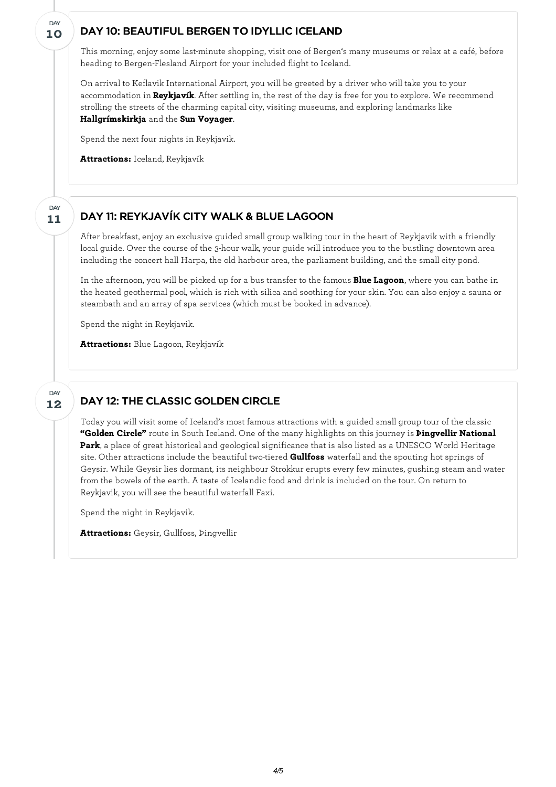## DAY 10: BEAUTIFUL BERGEN TO IDYLLIC ICELAND

This morning, enjoy some last-minute shopping, visit one of Bergen's many museums or relax at a café, before heading to Bergen-Flesland Airport for your included flight to Iceland.

On arrival to Keflavik International Airport, you will be greeted by a driver who will take you to your accommodation in **Reykjavík**. After settling in, the rest of the day is free for you to explore. We recommend strolling the streets of the charming capital city, visiting museums, and exploring landmarks like **Hallgrímskirkja** and the **Sun Voyager**.

Spend the next four nights in Reykjavik.

**Attractions:** Iceland, Reykjavík

**10**

DAY

**11**

DAY

**12**

DAY

## DAY 11: REYKJAVÍK CITY WALK & BLUE LAGOON

After breakfast, enjoy an exclusive guided small group walking tour in the heart of Reykjavik with a friendly local guide. Over the course of the 3-hour walk, your guide will introduce you to the bustling downtown area including the concert hall Harpa, the old harbour area, the parliament building, and the small city pond.

In the afternoon, you will be picked up for a bus transfer to the famous **Blue Lagoon**, where you can bathe in the heated geothermal pool, which is rich with silica and soothing for your skin. You can also enjoy a sauna or steambath and an array of spa services (which must be booked in advance).

Spend the night in Reykjavik.

**Attractions:** Blue Lagoon, Reykjavík

## DAY 12: THE CLASSIC GOLDEN CIRCLE

Today you will visit some of Iceland's most famous attractions with a guided small group tour of the classic **"Golden Circle"** route in South Iceland. One of the many highlights on this journey is **Þingvellir National Park**, a place of great historical and geological significance that is also listed as a UNESCO World Heritage site. Other attractions include the beautiful two-tiered **Gullfoss** waterfall and the spouting hot springs of Geysir. While Geysir lies dormant, its neighbour Strokkur erupts every few minutes, gushing steam and water from the bowels of the earth. A taste of Icelandic food and drink is included on the tour. On return to Reykjavik, you will see the beautiful waterfall Faxi.

Spend the night in Reykjavik.

**Attractions:** Geysir, Gullfoss, Þingvellir